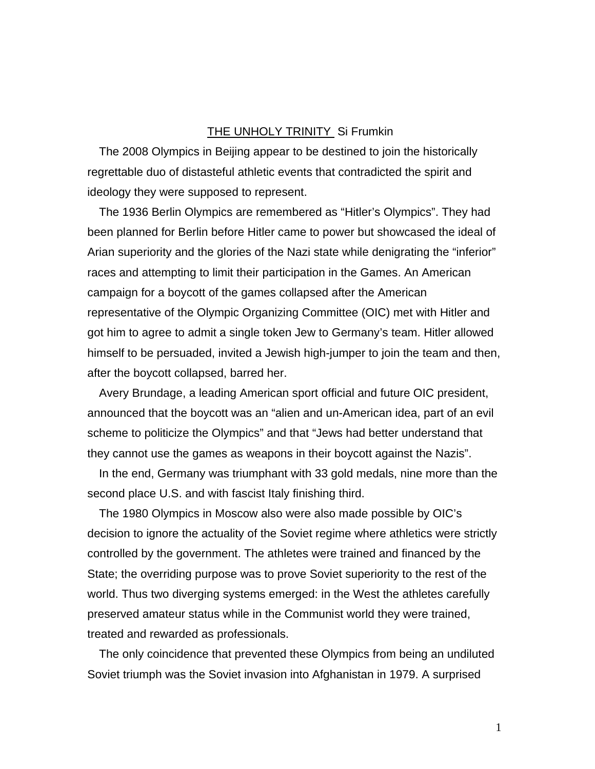## THE UNHOLY TRINITY Si Frumkin

The 2008 Olympics in Beijing appear to be destined to join the historically regrettable duo of distasteful athletic events that contradicted the spirit and ideology they were supposed to represent.

The 1936 Berlin Olympics are remembered as "Hitler's Olympics". They had been planned for Berlin before Hitler came to power but showcased the ideal of Arian superiority and the glories of the Nazi state while denigrating the "inferior" races and attempting to limit their participation in the Games. An American campaign for a boycott of the games collapsed after the American representative of the Olympic Organizing Committee (OIC) met with Hitler and got him to agree to admit a single token Jew to Germany's team. Hitler allowed himself to be persuaded, invited a Jewish high-jumper to join the team and then, after the boycott collapsed, barred her.

Avery Brundage, a leading American sport official and future OIC president, announced that the boycott was an "alien and un-American idea, part of an evil scheme to politicize the Olympics" and that "Jews had better understand that they cannot use the games as weapons in their boycott against the Nazis".

In the end, Germany was triumphant with 33 gold medals, nine more than the second place U.S. and with fascist Italy finishing third.

The 1980 Olympics in Moscow also were also made possible by OIC's decision to ignore the actuality of the Soviet regime where athletics were strictly controlled by the government. The athletes were trained and financed by the State; the overriding purpose was to prove Soviet superiority to the rest of the world. Thus two diverging systems emerged: in the West the athletes carefully preserved amateur status while in the Communist world they were trained, treated and rewarded as professionals.

The only coincidence that prevented these Olympics from being an undiluted Soviet triumph was the Soviet invasion into Afghanistan in 1979. A surprised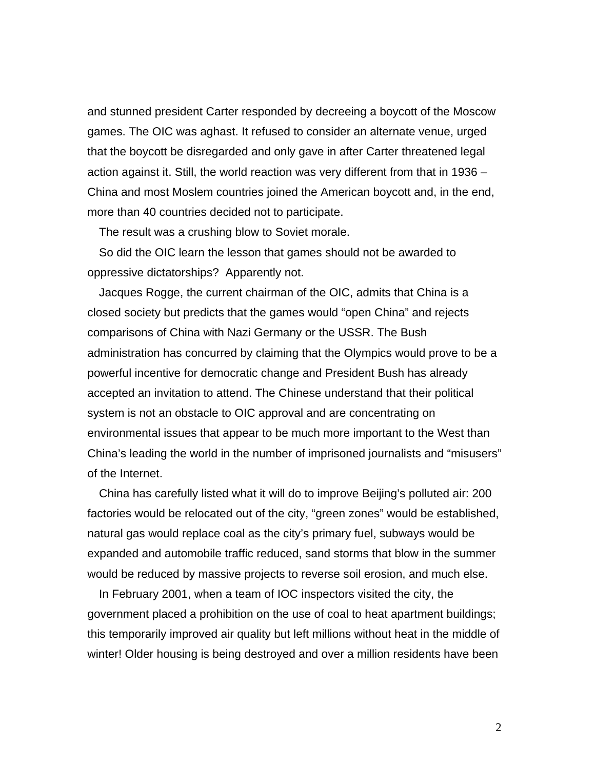and stunned president Carter responded by decreeing a boycott of the Moscow games. The OIC was aghast. It refused to consider an alternate venue, urged that the boycott be disregarded and only gave in after Carter threatened legal action against it. Still, the world reaction was very different from that in 1936 – China and most Moslem countries joined the American boycott and, in the end, more than 40 countries decided not to participate.

The result was a crushing blow to Soviet morale.

So did the OIC learn the lesson that games should not be awarded to oppressive dictatorships? Apparently not.

Jacques Rogge, the current chairman of the OIC, admits that China is a closed society but predicts that the games would "open China" and rejects comparisons of China with Nazi Germany or the USSR. The Bush administration has concurred by claiming that the Olympics would prove to be a powerful incentive for democratic change and President Bush has already accepted an invitation to attend. The Chinese understand that their political system is not an obstacle to OIC approval and are concentrating on environmental issues that appear to be much more important to the West than China's leading the world in the number of imprisoned journalists and "misusers" of the Internet.

China has carefully listed what it will do to improve Beijing's polluted air: 200 factories would be relocated out of the city, "green zones" would be established, natural gas would replace coal as the city's primary fuel, subways would be expanded and automobile traffic reduced, sand storms that blow in the summer would be reduced by massive projects to reverse soil erosion, and much else.

In February 2001, when a team of IOC inspectors visited the city, the government placed a prohibition on the use of coal to heat apartment buildings; this temporarily improved air quality but left millions without heat in the middle of winter! Older housing is being destroyed and over a million residents have been